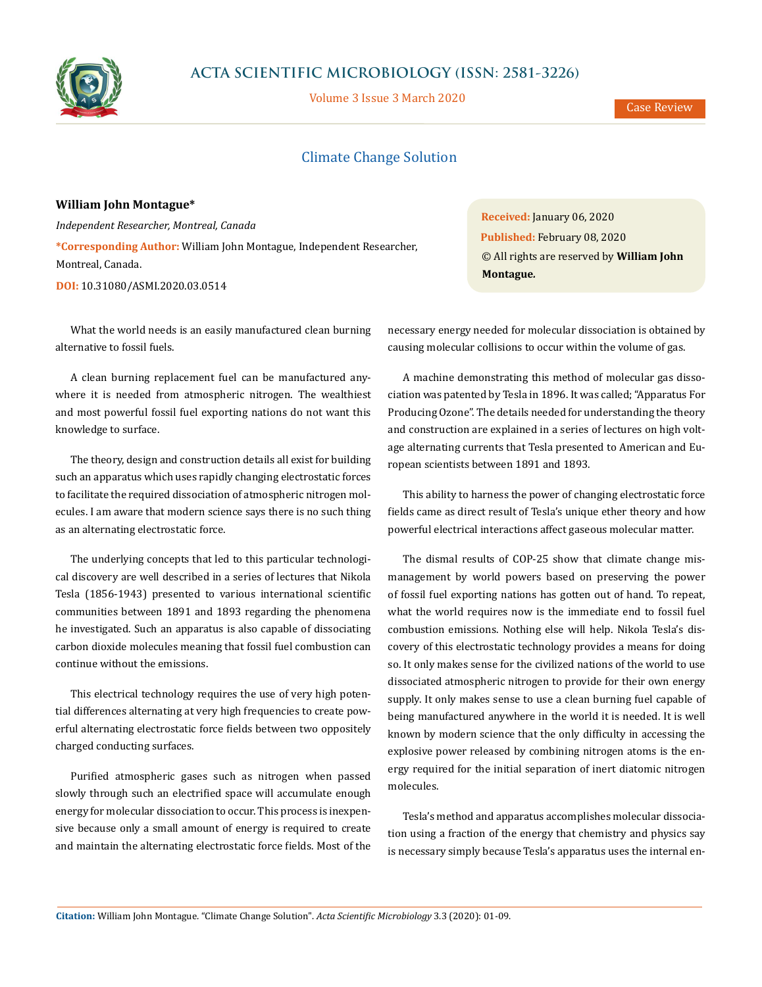

# **ACTA SCIENTIFIC MICROBIOLOGY (ISSN: 2581-3226)**

Volume 3 Issue 3 March 2020

Case Review

# Climate Change Solution

### **William John Montague\***

*Independent Researcher, Montreal, Canada* **\*Corresponding Author:** William John Montague, Independent Researcher, Montreal, Canada.

**DOI:** [10.31080/ASMI.2020.03.0514](https://actascientific.com/ASMI/pdf/ASMI-03-0514.pdf)

What the world needs is an easily manufactured clean burning alternative to fossil fuels.

A clean burning replacement fuel can be manufactured anywhere it is needed from atmospheric nitrogen. The wealthiest and most powerful fossil fuel exporting nations do not want this knowledge to surface.

The theory, design and construction details all exist for building such an apparatus which uses rapidly changing electrostatic forces to facilitate the required dissociation of atmospheric nitrogen molecules. I am aware that modern science says there is no such thing as an alternating electrostatic force.

The underlying concepts that led to this particular technological discovery are well described in a series of lectures that Nikola Tesla (1856-1943) presented to various international scientific communities between 1891 and 1893 regarding the phenomena he investigated. Such an apparatus is also capable of dissociating carbon dioxide molecules meaning that fossil fuel combustion can continue without the emissions.

This electrical technology requires the use of very high potential differences alternating at very high frequencies to create powerful alternating electrostatic force fields between two oppositely charged conducting surfaces.

Purified atmospheric gases such as nitrogen when passed slowly through such an electrified space will accumulate enough energy for molecular dissociation to occur. This process is inexpensive because only a small amount of energy is required to create and maintain the alternating electrostatic force fields. Most of the

**Received:** January 06, 2020 **Published:** February 08, 2020 © All rights are reserved by **William John Montague***.*

necessary energy needed for molecular dissociation is obtained by causing molecular collisions to occur within the volume of gas.

A machine demonstrating this method of molecular gas dissociation was patented by Tesla in 1896. It was called; "Apparatus For Producing Ozone". The details needed for understanding the theory and construction are explained in a series of lectures on high voltage alternating currents that Tesla presented to American and European scientists between 1891 and 1893.

This ability to harness the power of changing electrostatic force fields came as direct result of Tesla's unique ether theory and how powerful electrical interactions affect gaseous molecular matter.

The dismal results of COP-25 show that climate change mismanagement by world powers based on preserving the power of fossil fuel exporting nations has gotten out of hand. To repeat, what the world requires now is the immediate end to fossil fuel combustion emissions. Nothing else will help. Nikola Tesla's discovery of this electrostatic technology provides a means for doing so. It only makes sense for the civilized nations of the world to use dissociated atmospheric nitrogen to provide for their own energy supply. It only makes sense to use a clean burning fuel capable of being manufactured anywhere in the world it is needed. It is well known by modern science that the only difficulty in accessing the explosive power released by combining nitrogen atoms is the energy required for the initial separation of inert diatomic nitrogen molecules.

Tesla's method and apparatus accomplishes molecular dissociation using a fraction of the energy that chemistry and physics say is necessary simply because Tesla's apparatus uses the internal en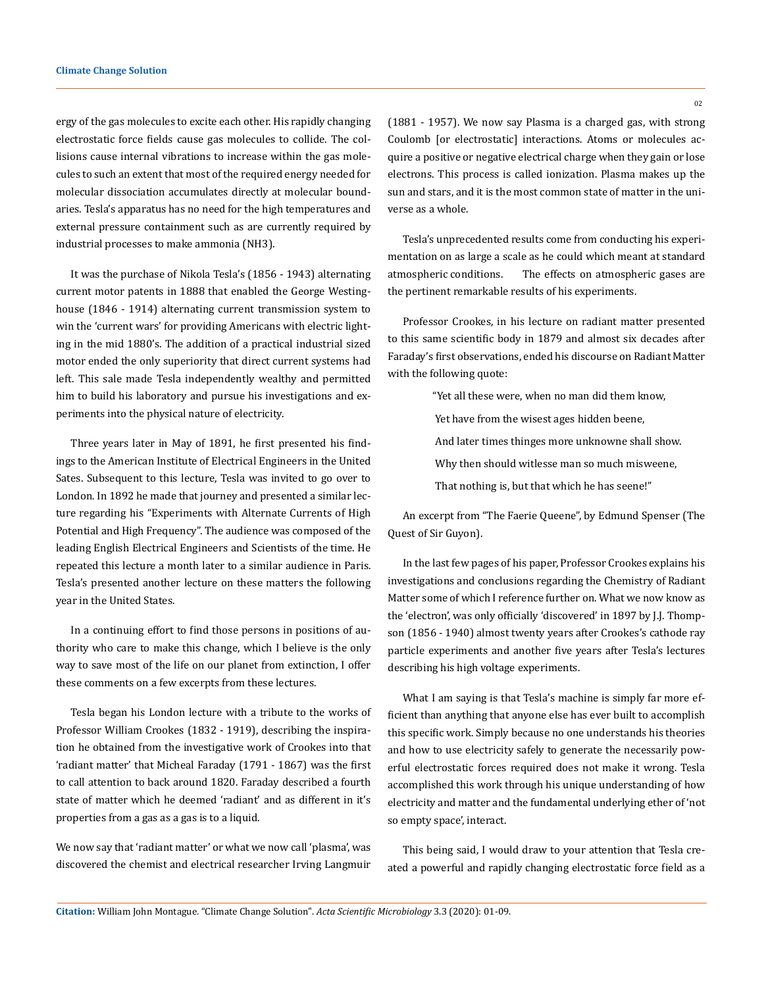ergy of the gas molecules to excite each other. His rapidly changing electrostatic force fields cause gas molecules to collide. The collisions cause internal vibrations to increase within the gas molecules to such an extent that most of the required energy needed for molecular dissociation accumulates directly at molecular boundaries. Tesla's apparatus has no need for the high temperatures and external pressure containment such as are currently required by industrial processes to make ammonia (NH3).

It was the purchase of Nikola Tesla's (1856 - 1943) alternating current motor patents in 1888 that enabled the George Westinghouse (1846 - 1914) alternating current transmission system to win the 'current wars' for providing Americans with electric lighting in the mid 1880's. The addition of a practical industrial sized motor ended the only superiority that direct current systems had left. This sale made Tesla independently wealthy and permitted him to build his laboratory and pursue his investigations and experiments into the physical nature of electricity.

Three years later in May of 1891, he first presented his findings to the American Institute of Electrical Engineers in the United Sates. Subsequent to this lecture, Tesla was invited to go over to London. In 1892 he made that journey and presented a similar lecture regarding his "Experiments with Alternate Currents of High Potential and High Frequency". The audience was composed of the leading English Electrical Engineers and Scientists of the time. He repeated this lecture a month later to a similar audience in Paris. Tesla's presented another lecture on these matters the following year in the United States.

In a continuing effort to find those persons in positions of authority who care to make this change, which I believe is the only way to save most of the life on our planet from extinction, I offer these comments on a few excerpts from these lectures.

Tesla began his London lecture with a tribute to the works of Professor William Crookes (1832 - 1919), describing the inspiration he obtained from the investigative work of Crookes into that 'radiant matter' that Micheal Faraday (1791 - 1867) was the first to call attention to back around 1820. Faraday described a fourth state of matter which he deemed 'radiant' and as different in it's properties from a gas as a gas is to a liquid.

We now say that 'radiant matter' or what we now call 'plasma', was discovered the chemist and electrical researcher Irving Langmuir (1881 - 1957). We now say Plasma is a charged gas, with strong Coulomb [or electrostatic] interactions. Atoms or molecules acquire a positive or negative electrical charge when they gain or lose electrons. This process is called ionization. Plasma makes up the sun and stars, and it is the most common state of matter in the universe as a whole.

Tesla's unprecedented results come from conducting his experimentation on as large a scale as he could which meant at standard atmospheric conditions. The effects on atmospheric gases are the pertinent remarkable results of his experiments.

Professor Crookes, in his lecture on radiant matter presented to this same scientific body in 1879 and almost six decades after Faraday's first observations, ended his discourse on Radiant Matter with the following quote:

"Yet all these were, when no man did them know,

- Yet have from the wisest ages hidden beene,
- And later times thinges more unknowne shall show.
- Why then should witlesse man so much misweene,
- That nothing is, but that which he has seene!"

An excerpt from "The Faerie Queene", by Edmund Spenser (The Quest of Sir Guyon).

In the last few pages of his paper, Professor Crookes explains his investigations and conclusions regarding the Chemistry of Radiant Matter some of which I reference further on. What we now know as the 'electron', was only officially 'discovered' in 1897 by J.J. Thompson (1856 - 1940) almost twenty years after Crookes's cathode ray particle experiments and another five years after Tesla's lectures describing his high voltage experiments.

What I am saying is that Tesla's machine is simply far more efficient than anything that anyone else has ever built to accomplish this specific work. Simply because no one understands his theories and how to use electricity safely to generate the necessarily powerful electrostatic forces required does not make it wrong. Tesla accomplished this work through his unique understanding of how electricity and matter and the fundamental underlying ether of 'not so empty space', interact.

This being said, I would draw to your attention that Tesla created a powerful and rapidly changing electrostatic force field as a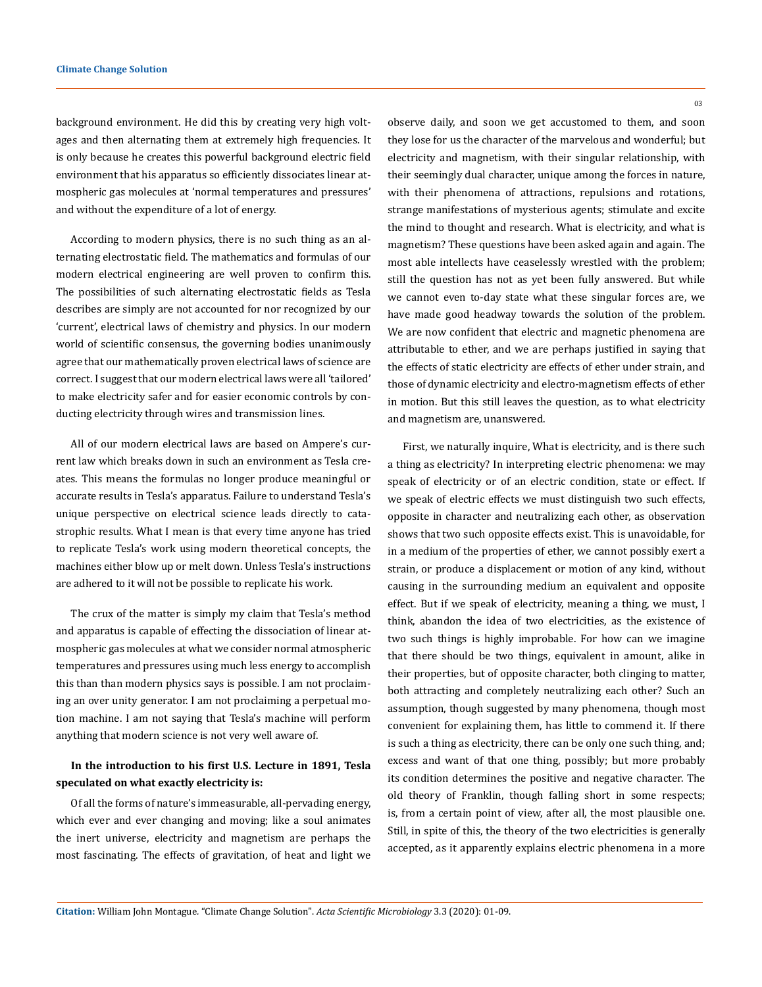background environment. He did this by creating very high voltages and then alternating them at extremely high frequencies. It is only because he creates this powerful background electric field environment that his apparatus so efficiently dissociates linear atmospheric gas molecules at 'normal temperatures and pressures' and without the expenditure of a lot of energy.

According to modern physics, there is no such thing as an alternating electrostatic field. The mathematics and formulas of our modern electrical engineering are well proven to confirm this. The possibilities of such alternating electrostatic fields as Tesla describes are simply are not accounted for nor recognized by our 'current', electrical laws of chemistry and physics. In our modern world of scientific consensus, the governing bodies unanimously agree that our mathematically proven electrical laws of science are correct. I suggest that our modern electrical laws were all 'tailored' to make electricity safer and for easier economic controls by conducting electricity through wires and transmission lines.

All of our modern electrical laws are based on Ampere's current law which breaks down in such an environment as Tesla creates. This means the formulas no longer produce meaningful or accurate results in Tesla's apparatus. Failure to understand Tesla's unique perspective on electrical science leads directly to catastrophic results. What I mean is that every time anyone has tried to replicate Tesla's work using modern theoretical concepts, the machines either blow up or melt down. Unless Tesla's instructions are adhered to it will not be possible to replicate his work.

The crux of the matter is simply my claim that Tesla's method and apparatus is capable of effecting the dissociation of linear atmospheric gas molecules at what we consider normal atmospheric temperatures and pressures using much less energy to accomplish this than than modern physics says is possible. I am not proclaiming an over unity generator. I am not proclaiming a perpetual motion machine. I am not saying that Tesla's machine will perform anything that modern science is not very well aware of.

### **In the introduction to his first U.S. Lecture in 1891, Tesla speculated on what exactly electricity is:**

Of all the forms of nature's immeasurable, all-pervading energy, which ever and ever changing and moving; like a soul animates the inert universe, electricity and magnetism are perhaps the most fascinating. The effects of gravitation, of heat and light we observe daily, and soon we get accustomed to them, and soon they lose for us the character of the marvelous and wonderful; but electricity and magnetism, with their singular relationship, with their seemingly dual character, unique among the forces in nature, with their phenomena of attractions, repulsions and rotations, strange manifestations of mysterious agents; stimulate and excite the mind to thought and research. What is electricity, and what is magnetism? These questions have been asked again and again. The most able intellects have ceaselessly wrestled with the problem; still the question has not as yet been fully answered. But while we cannot even to-day state what these singular forces are, we have made good headway towards the solution of the problem. We are now confident that electric and magnetic phenomena are attributable to ether, and we are perhaps justified in saying that the effects of static electricity are effects of ether under strain, and those of dynamic electricity and electro-magnetism effects of ether in motion. But this still leaves the question, as to what electricity and magnetism are, unanswered.

First, we naturally inquire, What is electricity, and is there such a thing as electricity? In interpreting electric phenomena: we may speak of electricity or of an electric condition, state or effect. If we speak of electric effects we must distinguish two such effects, opposite in character and neutralizing each other, as observation shows that two such opposite effects exist. This is unavoidable, for in a medium of the properties of ether, we cannot possibly exert a strain, or produce a displacement or motion of any kind, without causing in the surrounding medium an equivalent and opposite effect. But if we speak of electricity, meaning a thing, we must, I think, abandon the idea of two electricities, as the existence of two such things is highly improbable. For how can we imagine that there should be two things, equivalent in amount, alike in their properties, but of opposite character, both clinging to matter, both attracting and completely neutralizing each other? Such an assumption, though suggested by many phenomena, though most convenient for explaining them, has little to commend it. If there is such a thing as electricity, there can be only one such thing, and; excess and want of that one thing, possibly; but more probably its condition determines the positive and negative character. The old theory of Franklin, though falling short in some respects; is, from a certain point of view, after all, the most plausible one. Still, in spite of this, the theory of the two electricities is generally accepted, as it apparently explains electric phenomena in a more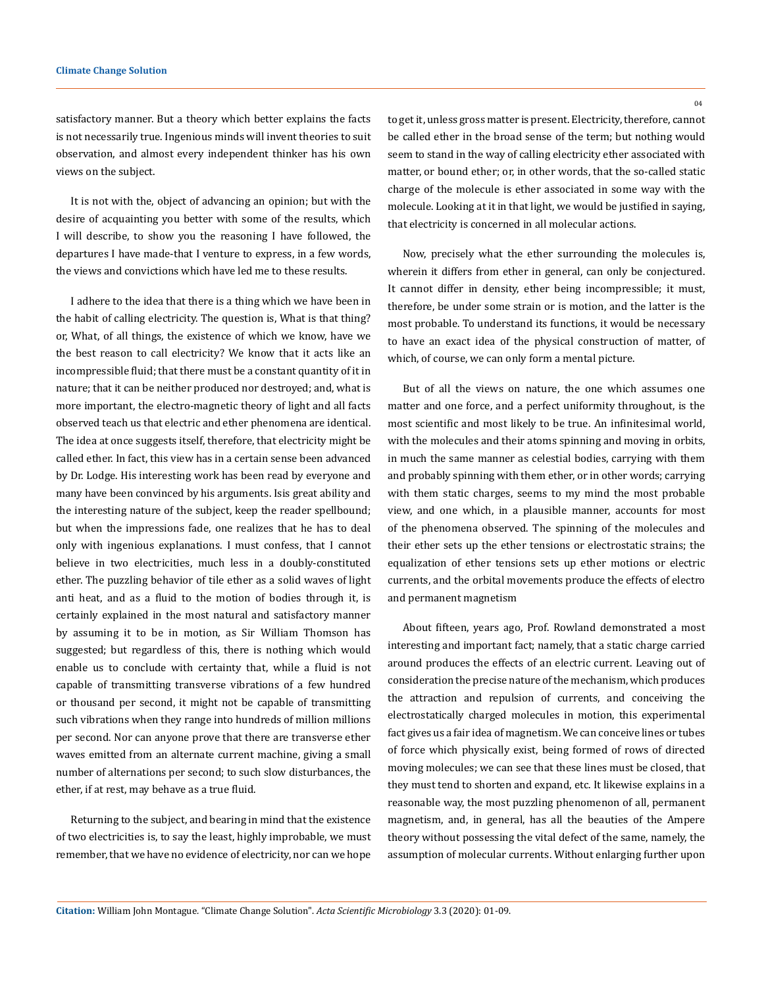satisfactory manner. But a theory which better explains the facts is not necessarily true. Ingenious minds will invent theories to suit observation, and almost every independent thinker has his own views on the subject.

It is not with the, object of advancing an opinion; but with the desire of acquainting you better with some of the results, which I will describe, to show you the reasoning I have followed, the departures I have made-that I venture to express, in a few words, the views and convictions which have led me to these results.

I adhere to the idea that there is a thing which we have been in the habit of calling electricity. The question is, What is that thing? or, What, of all things, the existence of which we know, have we the best reason to call electricity? We know that it acts like an incompressible fluid; that there must be a constant quantity of it in nature; that it can be neither produced nor destroyed; and, what is more important, the electro-magnetic theory of light and all facts observed teach us that electric and ether phenomena are identical. The idea at once suggests itself, therefore, that electricity might be called ether. In fact, this view has in a certain sense been advanced by Dr. Lodge. His interesting work has been read by everyone and many have been convinced by his arguments. Isis great ability and the interesting nature of the subject, keep the reader spellbound; but when the impressions fade, one realizes that he has to deal only with ingenious explanations. I must confess, that I cannot believe in two electricities, much less in a doubly-constituted ether. The puzzling behavior of tile ether as a solid waves of light anti heat, and as a fluid to the motion of bodies through it, is certainly explained in the most natural and satisfactory manner by assuming it to be in motion, as Sir William Thomson has suggested; but regardless of this, there is nothing which would enable us to conclude with certainty that, while a fluid is not capable of transmitting transverse vibrations of a few hundred or thousand per second, it might not be capable of transmitting such vibrations when they range into hundreds of million millions per second. Nor can anyone prove that there are transverse ether waves emitted from an alternate current machine, giving a small number of alternations per second; to such slow disturbances, the ether, if at rest, may behave as a true fluid.

Returning to the subject, and bearing in mind that the existence of two electricities is, to say the least, highly improbable, we must remember, that we have no evidence of electricity, nor can we hope to get it, unless gross matter is present. Electricity, therefore, cannot be called ether in the broad sense of the term; but nothing would seem to stand in the way of calling electricity ether associated with matter, or bound ether; or, in other words, that the so-called static charge of the molecule is ether associated in some way with the molecule. Looking at it in that light, we would be justified in saying, that electricity is concerned in all molecular actions.

Now, precisely what the ether surrounding the molecules is, wherein it differs from ether in general, can only be conjectured. It cannot differ in density, ether being incompressible; it must, therefore, be under some strain or is motion, and the latter is the most probable. To understand its functions, it would be necessary to have an exact idea of the physical construction of matter, of which, of course, we can only form a mental picture.

But of all the views on nature, the one which assumes one matter and one force, and a perfect uniformity throughout, is the most scientific and most likely to be true. An infinitesimal world, with the molecules and their atoms spinning and moving in orbits, in much the same manner as celestial bodies, carrying with them and probably spinning with them ether, or in other words; carrying with them static charges, seems to my mind the most probable view, and one which, in a plausible manner, accounts for most of the phenomena observed. The spinning of the molecules and their ether sets up the ether tensions or electrostatic strains; the equalization of ether tensions sets up ether motions or electric currents, and the orbital movements produce the effects of electro and permanent magnetism

About fifteen, years ago, Prof. Rowland demonstrated a most interesting and important fact; namely, that a static charge carried around produces the effects of an electric current. Leaving out of consideration the precise nature of the mechanism, which produces the attraction and repulsion of currents, and conceiving the electrostatically charged molecules in motion, this experimental fact gives us a fair idea of magnetism. We can conceive lines or tubes of force which physically exist, being formed of rows of directed moving molecules; we can see that these lines must be closed, that they must tend to shorten and expand, etc. It likewise explains in a reasonable way, the most puzzling phenomenon of all, permanent magnetism, and, in general, has all the beauties of the Ampere theory without possessing the vital defect of the same, namely, the assumption of molecular currents. Without enlarging further upon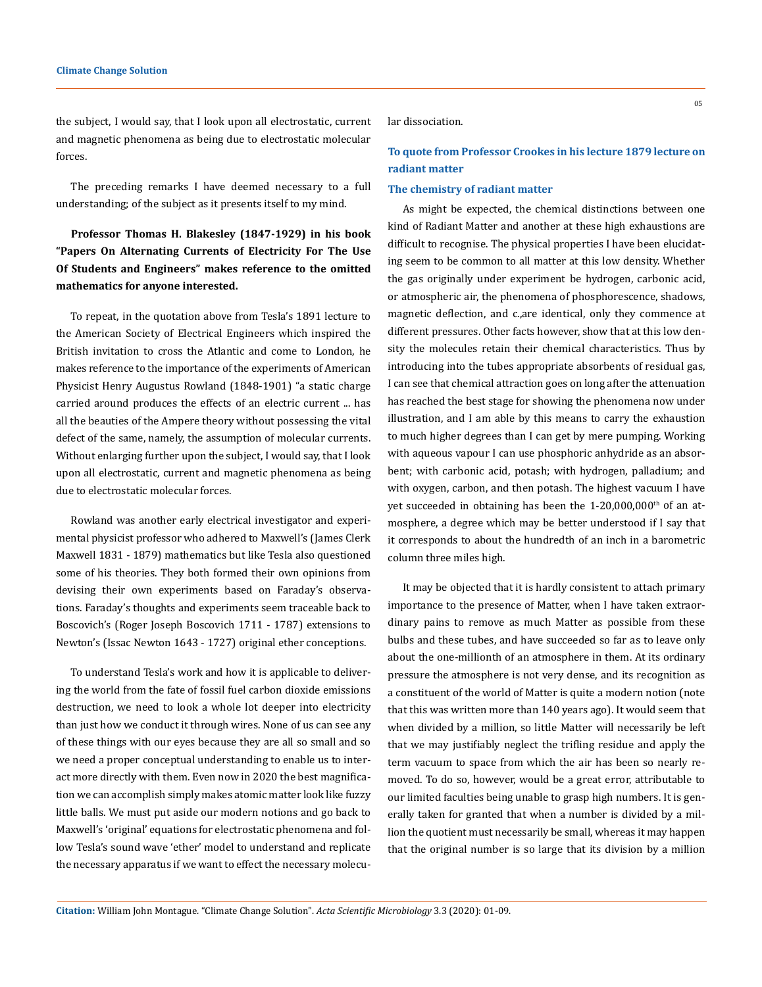the subject, I would say, that I look upon all electrostatic, current and magnetic phenomena as being due to electrostatic molecular forces.

The preceding remarks I have deemed necessary to a full understanding; of the subject as it presents itself to my mind.

# **Professor Thomas H. Blakesley (1847-1929) in his book "Papers On Alternating Currents of Electricity For The Use Of Students and Engineers" makes reference to the omitted mathematics for anyone interested.**

To repeat, in the quotation above from Tesla's 1891 lecture to the American Society of Electrical Engineers which inspired the British invitation to cross the Atlantic and come to London, he makes reference to the importance of the experiments of American Physicist Henry Augustus Rowland (1848-1901) "a static charge carried around produces the effects of an electric current ... has all the beauties of the Ampere theory without possessing the vital defect of the same, namely, the assumption of molecular currents. Without enlarging further upon the subject, I would say, that I look upon all electrostatic, current and magnetic phenomena as being due to electrostatic molecular forces.

Rowland was another early electrical investigator and experimental physicist professor who adhered to Maxwell's (James Clerk Maxwell 1831 - 1879) mathematics but like Tesla also questioned some of his theories. They both formed their own opinions from devising their own experiments based on Faraday's observations. Faraday's thoughts and experiments seem traceable back to Boscovich's (Roger Joseph Boscovich 1711 - 1787) extensions to Newton's (Issac Newton 1643 - 1727) original ether conceptions.

To understand Tesla's work and how it is applicable to delivering the world from the fate of fossil fuel carbon dioxide emissions destruction, we need to look a whole lot deeper into electricity than just how we conduct it through wires. None of us can see any of these things with our eyes because they are all so small and so we need a proper conceptual understanding to enable us to interact more directly with them. Even now in 2020 the best magnification we can accomplish simply makes atomic matter look like fuzzy little balls. We must put aside our modern notions and go back to Maxwell's 'original' equations for electrostatic phenomena and follow Tesla's sound wave 'ether' model to understand and replicate the necessary apparatus if we want to effect the necessary molecular dissociation.

## **To quote from Professor Crookes in his lecture 1879 lecture on radiant matter**

#### **The chemistry of radiant matter**

As might be expected, the chemical distinctions between one kind of Radiant Matter and another at these high exhaustions are difficult to recognise. The physical properties I have been elucidating seem to be common to all matter at this low density. Whether the gas originally under experiment be hydrogen, carbonic acid, or atmospheric air, the phenomena of phosphorescence, shadows, magnetic deflection, and c.,are identical, only they commence at different pressures. Other facts however, show that at this low density the molecules retain their chemical characteristics. Thus by introducing into the tubes appropriate absorbents of residual gas, I can see that chemical attraction goes on long after the attenuation has reached the best stage for showing the phenomena now under illustration, and I am able by this means to carry the exhaustion to much higher degrees than I can get by mere pumping. Working with aqueous vapour I can use phosphoric anhydride as an absorbent; with carbonic acid, potash; with hydrogen, palladium; and with oxygen, carbon, and then potash. The highest vacuum I have yet succeeded in obtaining has been the 1-20,000,000<sup>th</sup> of an atmosphere, a degree which may be better understood if I say that it corresponds to about the hundredth of an inch in a barometric column three miles high.

It may be objected that it is hardly consistent to attach primary importance to the presence of Matter, when I have taken extraordinary pains to remove as much Matter as possible from these bulbs and these tubes, and have succeeded so far as to leave only about the one-millionth of an atmosphere in them. At its ordinary pressure the atmosphere is not very dense, and its recognition as a constituent of the world of Matter is quite a modern notion (note that this was written more than 140 years ago). It would seem that when divided by a million, so little Matter will necessarily be left that we may justifiably neglect the trifling residue and apply the term vacuum to space from which the air has been so nearly removed. To do so, however, would be a great error, attributable to our limited faculties being unable to grasp high numbers. It is generally taken for granted that when a number is divided by a million the quotient must necessarily be small, whereas it may happen that the original number is so large that its division by a million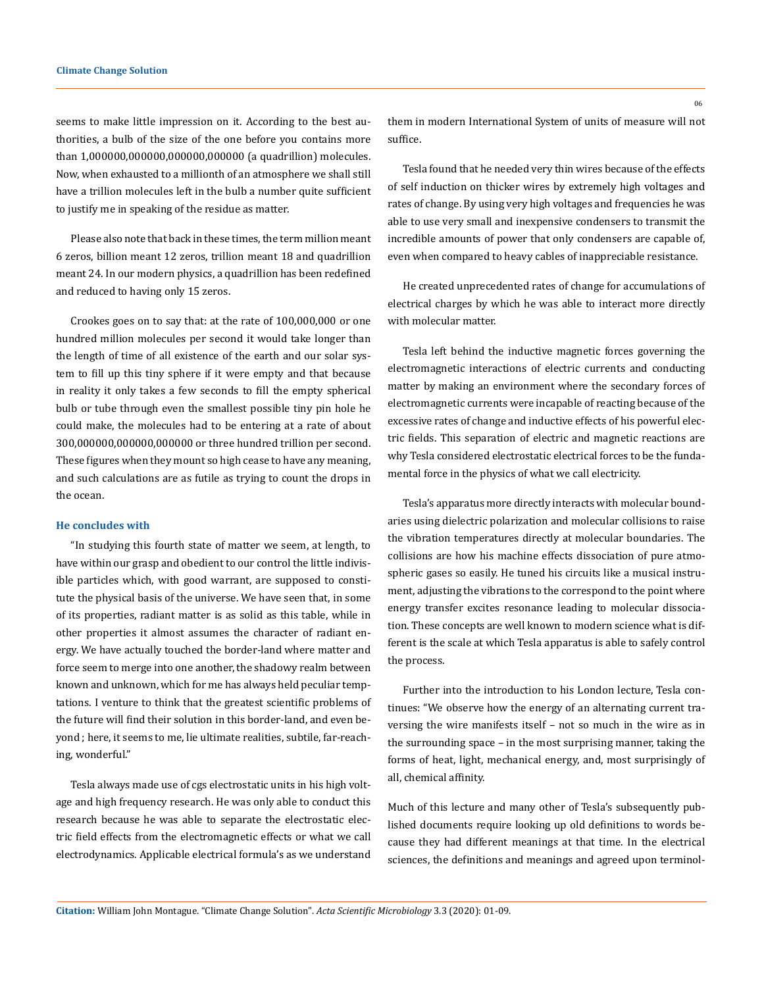seems to make little impression on it. According to the best authorities, a bulb of the size of the one before you contains more than 1,000000,000000,000000,000000 (a quadrillion) molecules. Now, when exhausted to a millionth of an atmosphere we shall still have a trillion molecules left in the bulb a number quite sufficient to justify me in speaking of the residue as matter.

Please also note that back in these times, the term million meant 6 zeros, billion meant 12 zeros, trillion meant 18 and quadrillion meant 24. In our modern physics, a quadrillion has been redefined and reduced to having only 15 zeros.

Crookes goes on to say that: at the rate of 100,000,000 or one hundred million molecules per second it would take longer than the length of time of all existence of the earth and our solar system to fill up this tiny sphere if it were empty and that because in reality it only takes a few seconds to fill the empty spherical bulb or tube through even the smallest possible tiny pin hole he could make, the molecules had to be entering at a rate of about 300,000000,000000,000000 or three hundred trillion per second. These figures when they mount so high cease to have any meaning, and such calculations are as futile as trying to count the drops in the ocean.

#### **He concludes with**

"In studying this fourth state of matter we seem, at length, to have within our grasp and obedient to our control the little indivisible particles which, with good warrant, are supposed to constitute the physical basis of the universe. We have seen that, in some of its properties, radiant matter is as solid as this table, while in other properties it almost assumes the character of radiant energy. We have actually touched the border-land where matter and force seem to merge into one another, the shadowy realm between known and unknown, which for me has always held peculiar temptations. I venture to think that the greatest scientific problems of the future will find their solution in this border-land, and even beyond ; here, it seems to me, lie ultimate realities, subtile, far-reaching, wonderful."

Tesla always made use of cgs electrostatic units in his high voltage and high frequency research. He was only able to conduct this research because he was able to separate the electrostatic electric field effects from the electromagnetic effects or what we call electrodynamics. Applicable electrical formula's as we understand them in modern International System of units of measure will not suffice.

Tesla found that he needed very thin wires because of the effects of self induction on thicker wires by extremely high voltages and rates of change. By using very high voltages and frequencies he was able to use very small and inexpensive condensers to transmit the incredible amounts of power that only condensers are capable of, even when compared to heavy cables of inappreciable resistance.

He created unprecedented rates of change for accumulations of electrical charges by which he was able to interact more directly with molecular matter.

Tesla left behind the inductive magnetic forces governing the electromagnetic interactions of electric currents and conducting matter by making an environment where the secondary forces of electromagnetic currents were incapable of reacting because of the excessive rates of change and inductive effects of his powerful electric fields. This separation of electric and magnetic reactions are why Tesla considered electrostatic electrical forces to be the fundamental force in the physics of what we call electricity.

Tesla's apparatus more directly interacts with molecular boundaries using dielectric polarization and molecular collisions to raise the vibration temperatures directly at molecular boundaries. The collisions are how his machine effects dissociation of pure atmospheric gases so easily. He tuned his circuits like a musical instrument, adjusting the vibrations to the correspond to the point where energy transfer excites resonance leading to molecular dissociation. These concepts are well known to modern science what is different is the scale at which Tesla apparatus is able to safely control the process.

Further into the introduction to his London lecture, Tesla continues: "We observe how the energy of an alternating current traversing the wire manifests itself – not so much in the wire as in the surrounding space – in the most surprising manner, taking the forms of heat, light, mechanical energy, and, most surprisingly of all, chemical affinity.

Much of this lecture and many other of Tesla's subsequently published documents require looking up old definitions to words because they had different meanings at that time. In the electrical sciences, the definitions and meanings and agreed upon terminol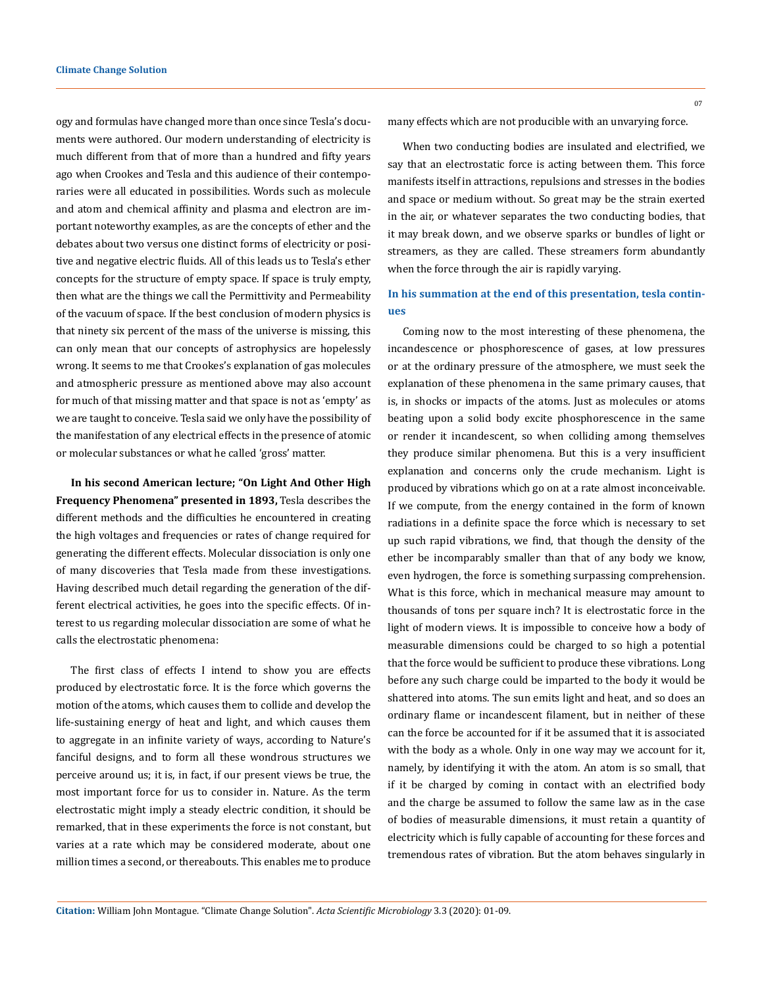ogy and formulas have changed more than once since Tesla's documents were authored. Our modern understanding of electricity is much different from that of more than a hundred and fifty years ago when Crookes and Tesla and this audience of their contemporaries were all educated in possibilities. Words such as molecule and atom and chemical affinity and plasma and electron are important noteworthy examples, as are the concepts of ether and the debates about two versus one distinct forms of electricity or positive and negative electric fluids. All of this leads us to Tesla's ether concepts for the structure of empty space. If space is truly empty, then what are the things we call the Permittivity and Permeability of the vacuum of space. If the best conclusion of modern physics is that ninety six percent of the mass of the universe is missing, this can only mean that our concepts of astrophysics are hopelessly wrong. It seems to me that Crookes's explanation of gas molecules and atmospheric pressure as mentioned above may also account for much of that missing matter and that space is not as 'empty' as we are taught to conceive. Tesla said we only have the possibility of the manifestation of any electrical effects in the presence of atomic or molecular substances or what he called 'gross' matter.

**In his second American lecture; "On Light And Other High Frequency Phenomena" presented in 1893,** Tesla describes the different methods and the difficulties he encountered in creating the high voltages and frequencies or rates of change required for generating the different effects. Molecular dissociation is only one of many discoveries that Tesla made from these investigations. Having described much detail regarding the generation of the different electrical activities, he goes into the specific effects. Of interest to us regarding molecular dissociation are some of what he calls the electrostatic phenomena:

The first class of effects I intend to show you are effects produced by electrostatic force. It is the force which governs the motion of the atoms, which causes them to collide and develop the life-sustaining energy of heat and light, and which causes them to aggregate in an infinite variety of ways, according to Nature's fanciful designs, and to form all these wondrous structures we perceive around us; it is, in fact, if our present views be true, the most important force for us to consider in. Nature. As the term electrostatic might imply a steady electric condition, it should be remarked, that in these experiments the force is not constant, but varies at a rate which may be considered moderate, about one million times a second, or thereabouts. This enables me to produce many effects which are not producible with an unvarying force.

When two conducting bodies are insulated and electrified, we say that an electrostatic force is acting between them. This force manifests itself in attractions, repulsions and stresses in the bodies and space or medium without. So great may be the strain exerted in the air, or whatever separates the two conducting bodies, that it may break down, and we observe sparks or bundles of light or streamers, as they are called. These streamers form abundantly when the force through the air is rapidly varying.

### **In his summation at the end of this presentation, tesla continues**

Coming now to the most interesting of these phenomena, the incandescence or phosphorescence of gases, at low pressures or at the ordinary pressure of the atmosphere, we must seek the explanation of these phenomena in the same primary causes, that is, in shocks or impacts of the atoms. Just as molecules or atoms beating upon a solid body excite phosphorescence in the same or render it incandescent, so when colliding among themselves they produce similar phenomena. But this is a very insufficient explanation and concerns only the crude mechanism. Light is produced by vibrations which go on at a rate almost inconceivable. If we compute, from the energy contained in the form of known radiations in a definite space the force which is necessary to set up such rapid vibrations, we find, that though the density of the ether be incomparably smaller than that of any body we know, even hydrogen, the force is something surpassing comprehension. What is this force, which in mechanical measure may amount to thousands of tons per square inch? It is electrostatic force in the light of modern views. It is impossible to conceive how a body of measurable dimensions could be charged to so high a potential that the force would be sufficient to produce these vibrations. Long before any such charge could be imparted to the body it would be shattered into atoms. The sun emits light and heat, and so does an ordinary flame or incandescent filament, but in neither of these can the force be accounted for if it be assumed that it is associated with the body as a whole. Only in one way may we account for it, namely, by identifying it with the atom. An atom is so small, that if it be charged by coming in contact with an electrified body and the charge be assumed to follow the same law as in the case of bodies of measurable dimensions, it must retain a quantity of electricity which is fully capable of accounting for these forces and tremendous rates of vibration. But the atom behaves singularly in

07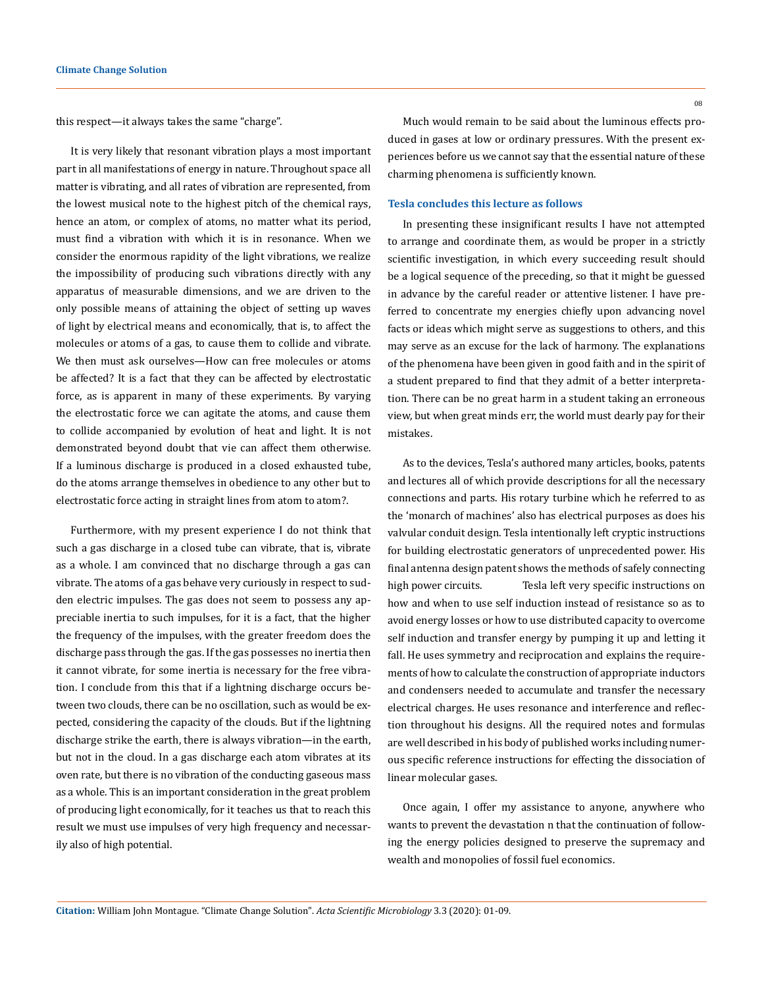this respect—it always takes the same "charge".

It is very likely that resonant vibration plays a most important part in all manifestations of energy in nature. Throughout space all matter is vibrating, and all rates of vibration are represented, from the lowest musical note to the highest pitch of the chemical rays, hence an atom, or complex of atoms, no matter what its period, must find a vibration with which it is in resonance. When we consider the enormous rapidity of the light vibrations, we realize the impossibility of producing such vibrations directly with any apparatus of measurable dimensions, and we are driven to the only possible means of attaining the object of setting up waves of light by electrical means and economically, that is, to affect the molecules or atoms of a gas, to cause them to collide and vibrate. We then must ask ourselves—How can free molecules or atoms be affected? It is a fact that they can be affected by electrostatic force, as is apparent in many of these experiments. By varying the electrostatic force we can agitate the atoms, and cause them to collide accompanied by evolution of heat and light. It is not demonstrated beyond doubt that vie can affect them otherwise. If a luminous discharge is produced in a closed exhausted tube, do the atoms arrange themselves in obedience to any other but to electrostatic force acting in straight lines from atom to atom?.

Furthermore, with my present experience I do not think that such a gas discharge in a closed tube can vibrate, that is, vibrate as a whole. I am convinced that no discharge through a gas can vibrate. The atoms of a gas behave very curiously in respect to sudden electric impulses. The gas does not seem to possess any appreciable inertia to such impulses, for it is a fact, that the higher the frequency of the impulses, with the greater freedom does the discharge pass through the gas. If the gas possesses no inertia then it cannot vibrate, for some inertia is necessary for the free vibration. I conclude from this that if a lightning discharge occurs between two clouds, there can be no oscillation, such as would be expected, considering the capacity of the clouds. But if the lightning discharge strike the earth, there is always vibration—in the earth, but not in the cloud. In a gas discharge each atom vibrates at its oven rate, but there is no vibration of the conducting gaseous mass as a whole. This is an important consideration in the great problem of producing light economically, for it teaches us that to reach this result we must use impulses of very high frequency and necessarily also of high potential.

Much would remain to be said about the luminous effects produced in gases at low or ordinary pressures. With the present experiences before us we cannot say that the essential nature of these charming phenomena is sufficiently known.

### **Tesla concludes this lecture as follows**

In presenting these insignificant results I have not attempted to arrange and coordinate them, as would be proper in a strictly scientific investigation, in which every succeeding result should be a logical sequence of the preceding, so that it might be guessed in advance by the careful reader or attentive listener. I have preferred to concentrate my energies chiefly upon advancing novel facts or ideas which might serve as suggestions to others, and this may serve as an excuse for the lack of harmony. The explanations of the phenomena have been given in good faith and in the spirit of a student prepared to find that they admit of a better interpretation. There can be no great harm in a student taking an erroneous view, but when great minds err, the world must dearly pay for their mistakes.

As to the devices, Tesla's authored many articles, books, patents and lectures all of which provide descriptions for all the necessary connections and parts. His rotary turbine which he referred to as the 'monarch of machines' also has electrical purposes as does his valvular conduit design. Tesla intentionally left cryptic instructions for building electrostatic generators of unprecedented power. His final antenna design patent shows the methods of safely connecting high power circuits. Tesla left very specific instructions on how and when to use self induction instead of resistance so as to avoid energy losses or how to use distributed capacity to overcome self induction and transfer energy by pumping it up and letting it fall. He uses symmetry and reciprocation and explains the requirements of how to calculate the construction of appropriate inductors and condensers needed to accumulate and transfer the necessary electrical charges. He uses resonance and interference and reflection throughout his designs. All the required notes and formulas are well described in his body of published works including numerous specific reference instructions for effecting the dissociation of linear molecular gases.

Once again, I offer my assistance to anyone, anywhere who wants to prevent the devastation n that the continuation of following the energy policies designed to preserve the supremacy and wealth and monopolies of fossil fuel economics.